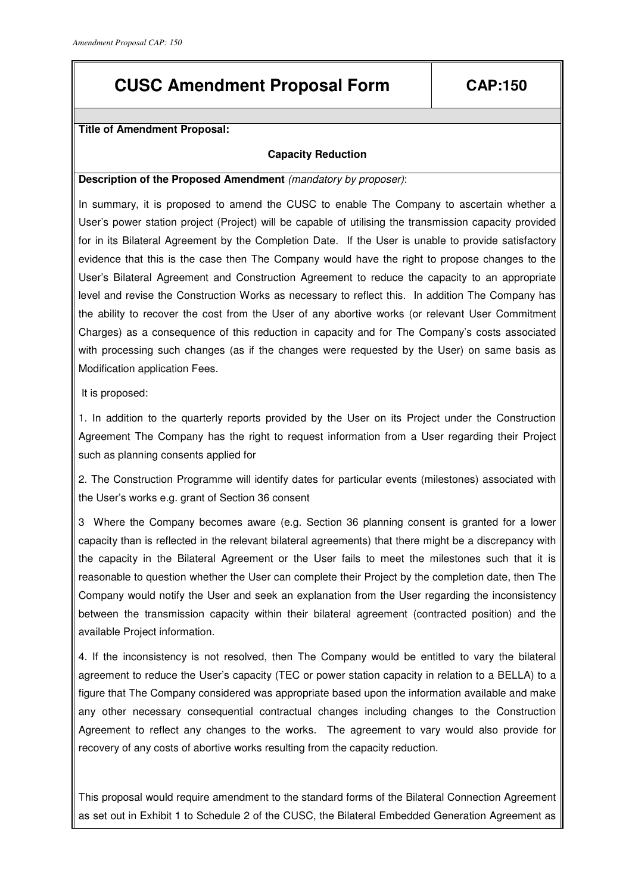# **CUSC Amendment Proposal Form CAP:150**

**Title of Amendment Proposal:** 

## **Capacity Reduction**

### **Description of the Proposed Amendment** (mandatory by proposer):

In summary, it is proposed to amend the CUSC to enable The Company to ascertain whether a User's power station project (Project) will be capable of utilising the transmission capacity provided for in its Bilateral Agreement by the Completion Date. If the User is unable to provide satisfactory evidence that this is the case then The Company would have the right to propose changes to the User's Bilateral Agreement and Construction Agreement to reduce the capacity to an appropriate level and revise the Construction Works as necessary to reflect this. In addition The Company has the ability to recover the cost from the User of any abortive works (or relevant User Commitment Charges) as a consequence of this reduction in capacity and for The Company's costs associated with processing such changes (as if the changes were requested by the User) on same basis as Modification application Fees.

It is proposed:

1. In addition to the quarterly reports provided by the User on its Project under the Construction Agreement The Company has the right to request information from a User regarding their Project such as planning consents applied for

2. The Construction Programme will identify dates for particular events (milestones) associated with the User's works e.g. grant of Section 36 consent

3 Where the Company becomes aware (e.g. Section 36 planning consent is granted for a lower capacity than is reflected in the relevant bilateral agreements) that there might be a discrepancy with the capacity in the Bilateral Agreement or the User fails to meet the milestones such that it is reasonable to question whether the User can complete their Project by the completion date, then The Company would notify the User and seek an explanation from the User regarding the inconsistency between the transmission capacity within their bilateral agreement (contracted position) and the available Project information.

4. If the inconsistency is not resolved, then The Company would be entitled to vary the bilateral agreement to reduce the User's capacity (TEC or power station capacity in relation to a BELLA) to a figure that The Company considered was appropriate based upon the information available and make any other necessary consequential contractual changes including changes to the Construction Agreement to reflect any changes to the works. The agreement to vary would also provide for recovery of any costs of abortive works resulting from the capacity reduction.

This proposal would require amendment to the standard forms of the Bilateral Connection Agreement as set out in Exhibit 1 to Schedule 2 of the CUSC, the Bilateral Embedded Generation Agreement as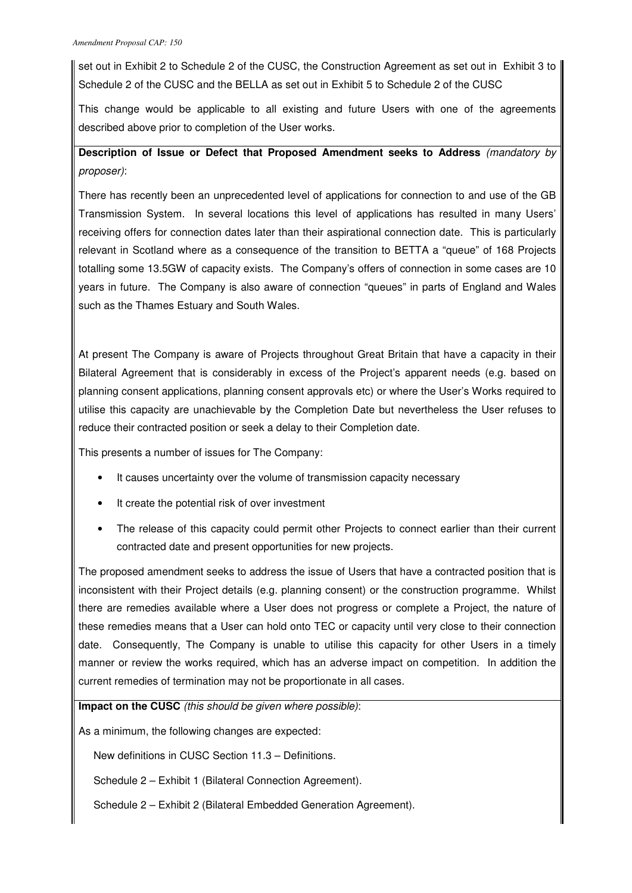set out in Exhibit 2 to Schedule 2 of the CUSC, the Construction Agreement as set out in Exhibit 3 to Schedule 2 of the CUSC and the BELLA as set out in Exhibit 5 to Schedule 2 of the CUSC

This change would be applicable to all existing and future Users with one of the agreements described above prior to completion of the User works.

## **Description of Issue or Defect that Proposed Amendment seeks to Address** (mandatory by proposer):

There has recently been an unprecedented level of applications for connection to and use of the GB Transmission System. In several locations this level of applications has resulted in many Users' receiving offers for connection dates later than their aspirational connection date. This is particularly relevant in Scotland where as a consequence of the transition to BETTA a "queue" of 168 Projects totalling some 13.5GW of capacity exists. The Company's offers of connection in some cases are 10 years in future. The Company is also aware of connection "queues" in parts of England and Wales such as the Thames Estuary and South Wales.

At present The Company is aware of Projects throughout Great Britain that have a capacity in their Bilateral Agreement that is considerably in excess of the Project's apparent needs (e.g. based on planning consent applications, planning consent approvals etc) or where the User's Works required to utilise this capacity are unachievable by the Completion Date but nevertheless the User refuses to reduce their contracted position or seek a delay to their Completion date.

This presents a number of issues for The Company:

- It causes uncertainty over the volume of transmission capacity necessary
- It create the potential risk of over investment
- The release of this capacity could permit other Projects to connect earlier than their current contracted date and present opportunities for new projects.

The proposed amendment seeks to address the issue of Users that have a contracted position that is inconsistent with their Project details (e.g. planning consent) or the construction programme. Whilst there are remedies available where a User does not progress or complete a Project, the nature of these remedies means that a User can hold onto TEC or capacity until very close to their connection date. Consequently, The Company is unable to utilise this capacity for other Users in a timely manner or review the works required, which has an adverse impact on competition. In addition the current remedies of termination may not be proportionate in all cases.

**Impact on the CUSC** (this should be given where possible):

As a minimum, the following changes are expected:

New definitions in CUSC Section 11.3 – Definitions.

Schedule 2 – Exhibit 1 (Bilateral Connection Agreement).

Schedule 2 – Exhibit 2 (Bilateral Embedded Generation Agreement).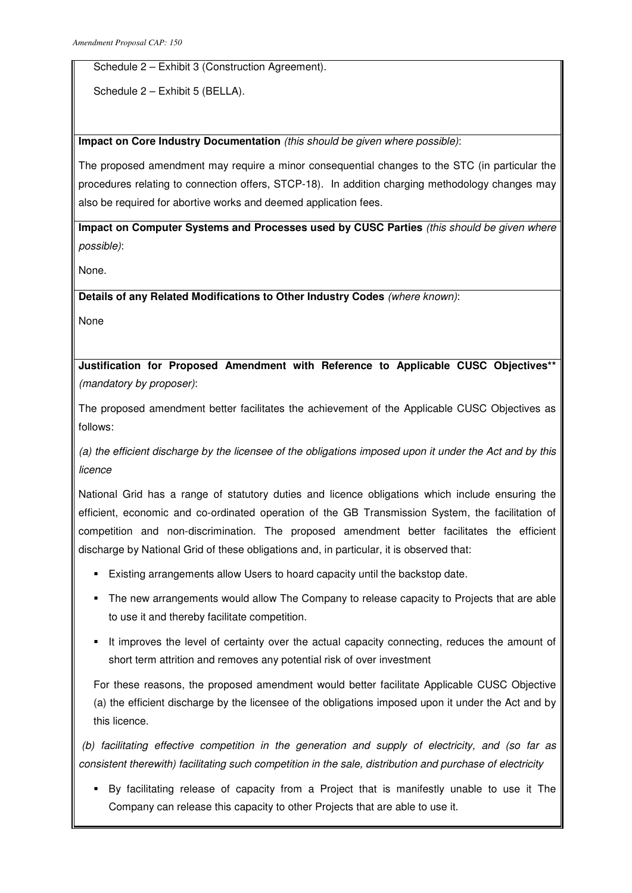Schedule 2 – Exhibit 3 (Construction Agreement).

Schedule 2 – Exhibit 5 (BELLA).

## **Impact on Core Industry Documentation** (this should be given where possible):

The proposed amendment may require a minor consequential changes to the STC (in particular the procedures relating to connection offers, STCP-18). In addition charging methodology changes may also be required for abortive works and deemed application fees.

**Impact on Computer Systems and Processes used by CUSC Parties** (this should be given where possible):

None.

**Details of any Related Modifications to Other Industry Codes** (where known):

None

**Justification for Proposed Amendment with Reference to Applicable CUSC Objectives\*\*** (mandatory by proposer):

The proposed amendment better facilitates the achievement of the Applicable CUSC Objectives as follows:

(a) the efficient discharge by the licensee of the obligations imposed upon it under the Act and by this licence

National Grid has a range of statutory duties and licence obligations which include ensuring the efficient, economic and co-ordinated operation of the GB Transmission System, the facilitation of competition and non-discrimination. The proposed amendment better facilitates the efficient discharge by National Grid of these obligations and, in particular, it is observed that:

- Existing arrangements allow Users to hoard capacity until the backstop date.
- The new arrangements would allow The Company to release capacity to Projects that are able to use it and thereby facilitate competition.
- It improves the level of certainty over the actual capacity connecting, reduces the amount of short term attrition and removes any potential risk of over investment

For these reasons, the proposed amendment would better facilitate Applicable CUSC Objective (a) the efficient discharge by the licensee of the obligations imposed upon it under the Act and by this licence.

 (b) facilitating effective competition in the generation and supply of electricity, and (so far as consistent therewith) facilitating such competition in the sale, distribution and purchase of electricity

 By facilitating release of capacity from a Project that is manifestly unable to use it The Company can release this capacity to other Projects that are able to use it.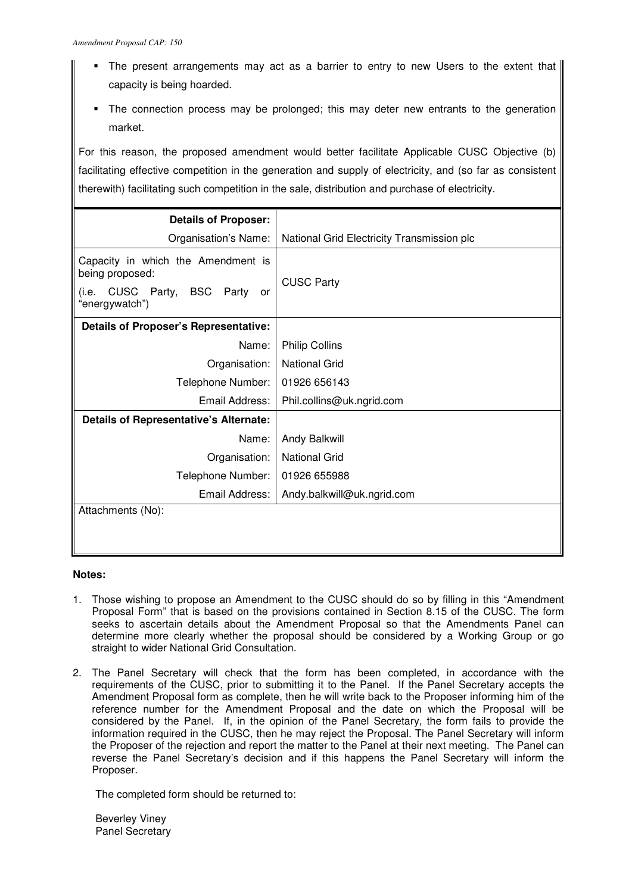- The present arrangements may act as a barrier to entry to new Users to the extent that capacity is being hoarded.
- The connection process may be prolonged; this may deter new entrants to the generation market.

For this reason, the proposed amendment would better facilitate Applicable CUSC Objective (b) facilitating effective competition in the generation and supply of electricity, and (so far as consistent therewith) facilitating such competition in the sale, distribution and purchase of electricity.

| <b>Details of Proposer:</b>                                                                                                  |                                            |
|------------------------------------------------------------------------------------------------------------------------------|--------------------------------------------|
| Organisation's Name:                                                                                                         | National Grid Electricity Transmission plc |
| Capacity in which the Amendment is<br>being proposed:<br><b>BSC</b><br>CUSC Party,<br>Party<br>(i.e.<br>or<br>"energywatch") | <b>CUSC Party</b>                          |
| <b>Details of Proposer's Representative:</b>                                                                                 |                                            |
| Name:                                                                                                                        | <b>Philip Collins</b>                      |
| Organisation:                                                                                                                | <b>National Grid</b>                       |
| Telephone Number:                                                                                                            | 01926 656143                               |
| Email Address:                                                                                                               | Phil.collins@uk.ngrid.com                  |
| <b>Details of Representative's Alternate:</b>                                                                                |                                            |
| Name:                                                                                                                        | Andy Balkwill                              |
| Organisation:                                                                                                                | <b>National Grid</b>                       |
| Telephone Number:                                                                                                            | 01926 655988                               |
| Email Address:                                                                                                               | Andy.balkwill@uk.ngrid.com                 |
| Attachments (No):                                                                                                            |                                            |
|                                                                                                                              |                                            |

### **Notes:**

- 1. Those wishing to propose an Amendment to the CUSC should do so by filling in this "Amendment Proposal Form" that is based on the provisions contained in Section 8.15 of the CUSC. The form seeks to ascertain details about the Amendment Proposal so that the Amendments Panel can determine more clearly whether the proposal should be considered by a Working Group or go straight to wider National Grid Consultation.
- 2. The Panel Secretary will check that the form has been completed, in accordance with the requirements of the CUSC, prior to submitting it to the Panel. If the Panel Secretary accepts the Amendment Proposal form as complete, then he will write back to the Proposer informing him of the reference number for the Amendment Proposal and the date on which the Proposal will be considered by the Panel. If, in the opinion of the Panel Secretary, the form fails to provide the information required in the CUSC, then he may reject the Proposal. The Panel Secretary will inform the Proposer of the rejection and report the matter to the Panel at their next meeting. The Panel can reverse the Panel Secretary's decision and if this happens the Panel Secretary will inform the Proposer.

The completed form should be returned to:

Beverley Viney Panel Secretary